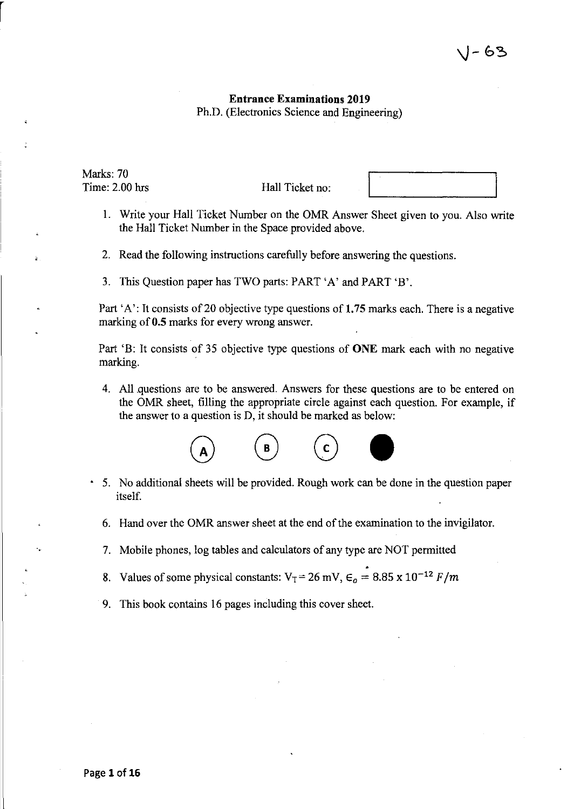## Entrance Examinations 2019 Ph.D. (Electronics Science and Engineering)

Marks: 70 Time: 2.00 hrs

r

Hall Ticket no:

- I. Write your Hall Ticket Number on the OMR Answer Sheet given to you. Also write the Hall Ticket Number in the Space provided above.
- 2. Read the following instructions carefully before answering the questions.
- 3. This Question paper has TWO parts: PART 'A' and PART 'B'.

Part 'A': It consists of 20 objective type questions of 1.75 marks each. There is a negative marking of 0.5 marks for every wrong answer.

Part 'B: It consists of 35 objective type questions of ONE mark each with no negative marking.

4. All questions are to be answered. Answers for these questions are to be entered on the OMR sheet, filling the appropriate circle against each question. For example, if the answer to a question is D, it should be marked as below:



- 5. No additional sheets will be provided. Rough work can be done in the question paper itself.
	- 6. Hand over the OMR answer sheet at the end of the examination to the invigilator.
	- 7. Mobile phones, log tables and calculators of any type are NOT permitted
	- 8. Values of some physical constants:  $V_T = 26$  mV,  $\epsilon_o = 8.85 \times 10^{-12}$  *F/m*
	- 9. This book contains 16 pages including this cover sheet.

..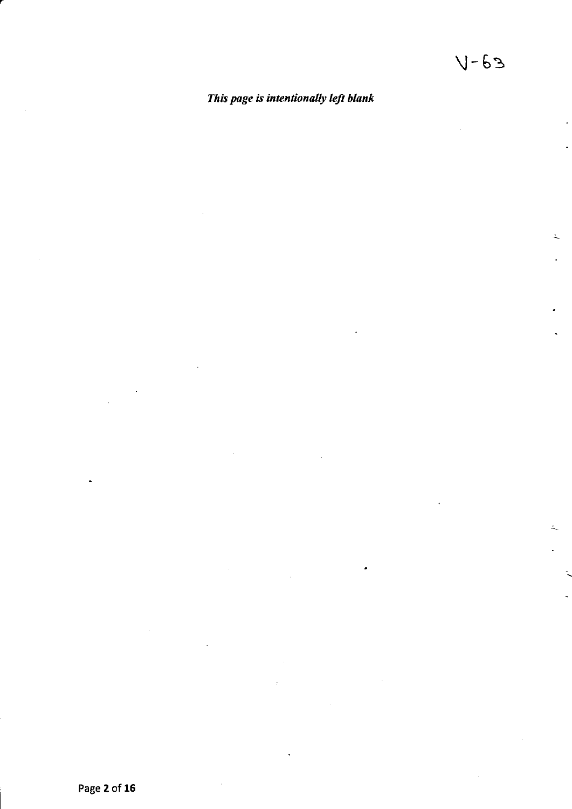ż,

# *This page is intentionally left blank*

Page Z of **16**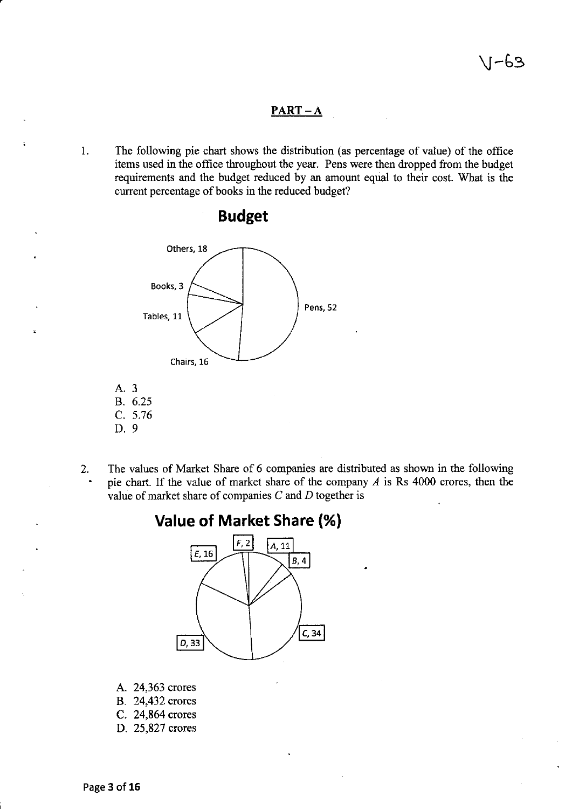### **PART-A**

I. The following pie chart shows the distribution (as percentage of value) of the office items used in the office throughout the year. Pens were then dropped from the budget requirements and the budget reduced by an amount equal to their cost. What is the current percentage of books in the reduced budget?



# **Budget**

- A. 3 B. 6.25 C. 5.76
- D.9
- 
- 2. The values of Market Share of 6 companies are distributed as shown in the following pie chart. If the value of market share of the company  $A$  is Rs 4000 crores, then the value of market share of companies  $C$  and  $D$  together is





- A. 24,363 crores
- B. 24,432 crores
- C. 24,864 crores
- D. 25,827 crores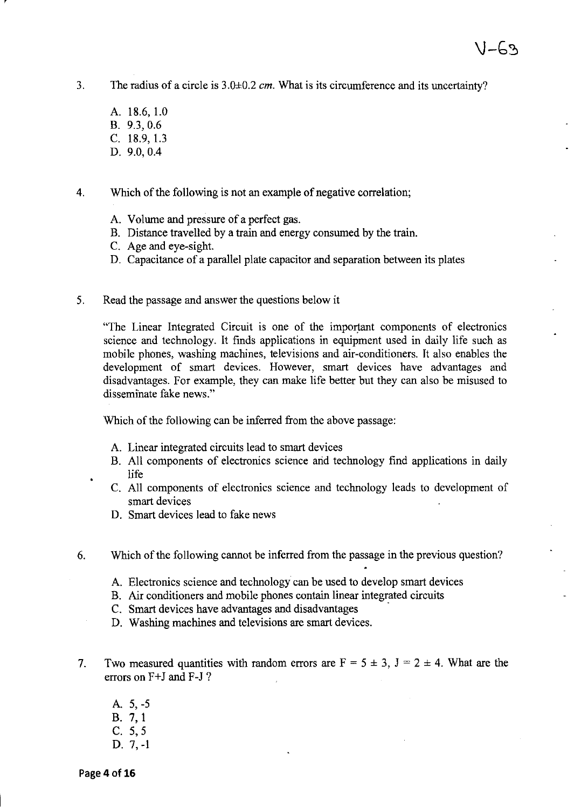- 3. The radius of a circle is 3.0±0.2 *em.* What is its circumference and its uncertainty?
	- A. 18.6, 1.0 B. 9.3,0.6 C. 18.9,1.3 D. 9.0,0.4

4. Which of the following is not an example of negative correlation;

- A. Volume and pressure of a perfect gas.
- B. Distance travelled by a train and energy consumed by the train.
- C. Age and eye-sight.
- D. Capacitance of a parallel plate capacitor and separation between its plates
- 5. Read the passage and answer the questions below it

"The Linear Integrated Circuit is one of the important components of electronics science and technology. It finds applications in equipment used in daily life such as mobile phones, washing machines, televisions and air-conditioners. It also enables the development of smart devices. However, smart devices have advantages and disadvantages. For example, they can make life better but they can also be misused to disseminate fake news."

Which of the following can be inferred from the above passage:

- A. Linear integrated circuits lead to smart devices
- B. All components of electronics science arid technology find applications in daily life
- C. All components of electronics science and technology leads to development of smart devices
- D. Smart devices lead to fake news
- 6. Which of the following cannot be inferred from the passage in the previous question?
	- A. Electronics science and technology can be used to develop smart devices
	- B. Air conditioners and mobile phones contain linear integrated circuits
	- C. Smart devices have advantages and disadvantages .
	- D. Washing machines and televisions are smart devices.
- 7. Two measured quantities with random errors are  $F = 5 \pm 3$ ,  $J = 2 \pm 4$ . What are the errors on F+J and F-J?
	- A. 5,-5 B. 7,1
	- C. 5,5
	- D. 7,-1

 $\ddot{\phantom{0}}$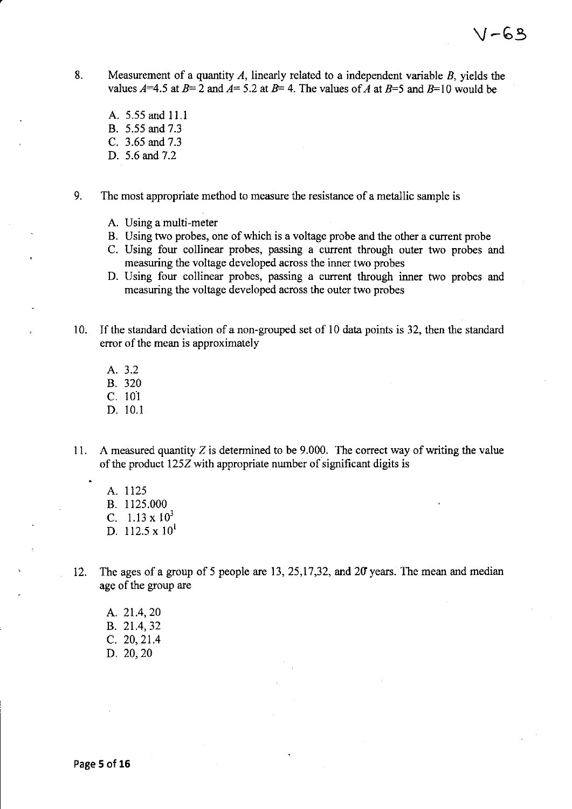- 8. Measurement of a quantity  $A$ , linearly related to a independent variable  $B$ , yields the values  $A=4.5$  at  $B=2$  and  $A=5.2$  at  $B=4$ . The values of *A* at  $B=5$  and  $B=10$  would be
	- A. 5.55 and 11.1 B. 5.55 and 7.3 C. 3.65 and 7.3 D. 5.6 and 7.2

9. The most appropriate method to measure the resistance of a metallic sample is

- A. Using a multi-meter
- B. Using two probes, one of which is a voltage probe and the other a current probe
- C. Using four collinear probes, passing a current through outer two probes and measuring the voltage developed across the inner two probes
- D. Using four collinear probes, passing a current through inner two probes and measuring the voltage developed across the outer two probes
- 10. If the standard deviation of a non-grouped set of 10 data points is 32, then the standard error of the mean is approximately
	- A. 3.2
	- B. 320
	- C. 101
	- D. 10.1
- 11. A measured quantity  $Z$  is determined to be 9.000. The correct way of writing the value of the product 125Z with appropriate number of significant digits is
	- A. 1125 B. 1125.000 C.  $1.13 \times 10^3$ D.  $112.5 \times 10^{1}$

12. The ages of a group of 5 people are 13,25,17,32, and 20' years. The mean and median age of the group are

A. 21.4,20 B. 21.4,32 C. 20,21.4 D. 20,20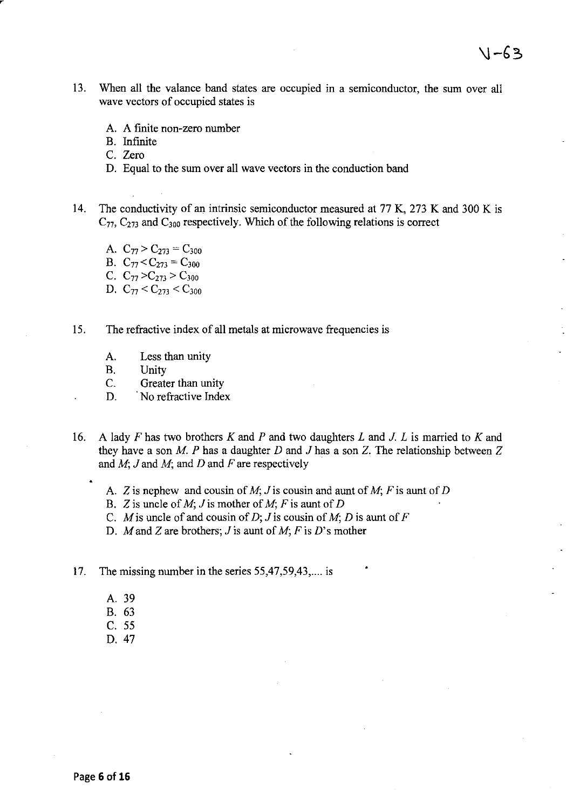- 13. When all the valance band states are occupied in a semiconductor, the sum over all wave vectors of occupied states is
	- A. A finite non-zero number
	- B. Infinite
	- C. Zero
	- D. Equal to the sum over all wave vectors in the conduction band
- 14. The conductivity of an intrinsic semiconductor measured at 77 K, 273 K and 300 K is  $C_{77}$ ,  $C_{273}$  and  $C_{300}$  respectively. Which of the following relations is correct
	- A.  $C_{77} > C_{273} = C_{300}$
	- B.  $C_{77} < C_{273} = C_{300}$
	- C.  $C_{77} > C_{273} > C_{300}$
	- D.  $C_{77} < C_{273} < C_{300}$
- 15. The refractive index of all metals at microwave frequencies is
	- A. Less than unity
	- B. Unity
	- C. Greater than unity
	- D. No refractive Index
- 16. A lady *F* has two brothers *K* and *P* and two daughters Land J. *L* is married to *K* and they have a son *M. P* has a daughter *D* and J has a son Z. The relationship between Z and *M;* J and *M;* and *D* and *F* are respectively
	- A. Z is nephew and cousin of *M;* J is cousin and aunt of *M; F* is aunt of *D*
	- B. Z is uncle of *M;* J is mother of *M; F* is aunt of *D*
	- C. *M* is uncle of and cousin of *D*; *J* is cousin of *M*; *D* is aunt of *F*
	- D. M and Z are brothers; J is aunt of M; F is D's mother
- 17. The missing number in the series 55,47,59,43,.... is
	- A. 39
	- B. 63
	- C. 55
	- D.47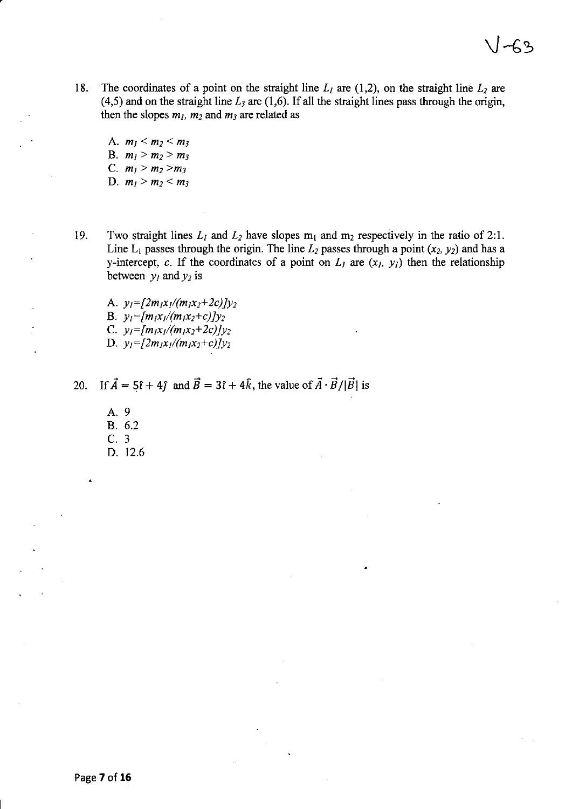18. The coordinates of a point on the straight line  $L_1$  are (1,2), on the straight line  $L_2$  are  $(4,5)$  and on the straight line  $L_3$  are  $(1,6)$ . If all the straight lines pass through the origin, then the slopes  $m_l$ ,  $m_2$  and  $m_3$  are related as

A.  $m_1 < m_2 < m_3$ B.  $m_l > m_2 > m_3$ C.  $m_1 > m_2 > m_3$ D.  $m_1 > m_2 < m_3$ 

19. Two straight lines  $L_1$  and  $L_2$  have slopes  $m_1$  and  $m_2$  respectively in the ratio of 2:1. Line  $L_1$  passes through the origin. The line  $L_2$  passes through a point  $(x_2, y_2)$  and has a y-intercept, c. If the coordinates of a point on  $L_1$  are  $(x_1, y_1)$  then the relationship between  $y_1$  and  $y_2$  is

A.  $y_l = [2m_lx_l/(m_lx_l+2c)]y_l$ B.  $y_l = [m_l x_l/(m_l x_2+c)]y_2$ C.  $y_1 = [m_1x_1/(m_1x_2+2c)]y_2$ D.  $y_1=[2m_1x_1/(m_1x_2+c)]y_2$ 

20. If  $\vec{A} = 5\hat{i} + 4\hat{j}$  and  $\vec{B} = 3\hat{i} + 4\hat{k}$ , the value of  $\vec{A} \cdot \vec{B}/|\vec{B}|$  is

A. 9 B. 6.2 C. 3 D. 12.6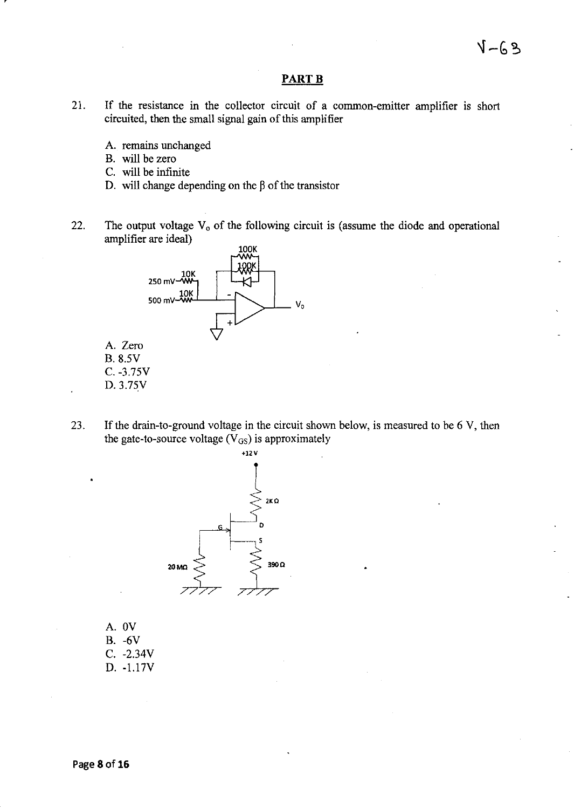### **PARTB**

- 21. If the resistance in the collector circuit of a common-emitter amplifier is short circuited, then the small signal gain of this amplifier
	- A. remains unchanged
	- B. will be zero
	- C. will be infinite
	- D. will change depending on the  $\beta$  of the transistor
- 22. The output voltage  $V_0$  of the following circuit is (assume the diode and operational amplifier are ideal)



23. If the drain-to-ground voltage in the circuit shown below, is measured to be 6 V, then the gate-to-source voltage  $(\bar{V}_{GS})$  is approximately



A.OV B. -6V C. -2.34V D. -1.17V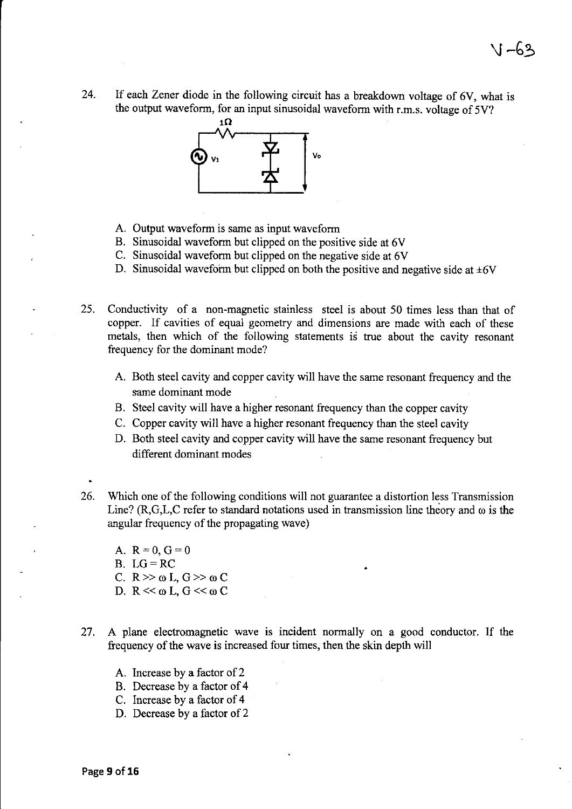24. If each Zener diode in the following circuit has a breakdown voltage of 6V, what is the output waveform, for an input sinusoidal waveform with r.m.s. voltage of 5V?



- A. Output waveform is same as input waveform
- B. Sinusoidal waveform but clipped on the positive side at 6V
- C. Sinusoidal waveform but clipped on the negative side at 6V
- D. Sinusoidal waveform but clipped on both the positive and negative side at  $\pm 6V$

25. Conductivity of a non-magnetic stainless steel is about 50 times less than that of copper. If cavities of equal geometry and dimensions are made with each of these metals, then which of the following statements is true about the cavity resonant frequency for the dominant mode?

- A. Both steel cavity and copper cavity will have the same resonant frequency and the same dominant mode
- B. Steel cavity will have a higher resonant frequency than the copper cavity
- C. Copper cavity will have a higher resonant frequency than the steel cavity
- D. Both steel cavity and copper cavity will have the same resonant frequency but different dominant modes
- 26. Which one of the following conditions will not guarantee a distortion less Transmission Line? (R,G,L,C refer to standard notations used in transmission line theory and  $\omega$  is the angular frequency of the propagating wave)
	- A.  $R = 0$ ,  $G = 0$
	- $B. LG = RC$
	- C.  $R \gg \omega L$ ,  $G \gg \omega C$
	- D.  $R \ll \omega L$ ,  $G \ll \omega C$
- 27. A plane electromagnetic wave is incident normally on a good conductor. If the frequency of the wave is increased four times, then the skin depth will
	- A. Increase by a factor of 2
	- B. Decrease by a factor of 4
	- C. Increase by a factor of 4
	- D. Decrease by a factor of 2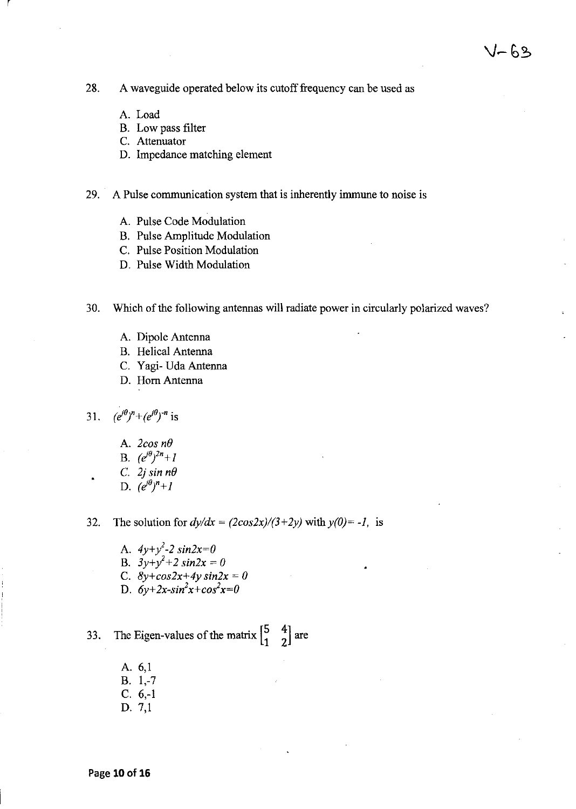28. A waveguide operated below its cutoff frequency can be used as

A. Load

r

- B. Low pass filter
- C. Attenuator
- D. Impedance matching element

29. A Pulse communication system that is inherently immune to noise is

- A. Pulse Code Modulation
- B. Pulse Amplitude Modulation
- C. Pulse Position Modulation
- D. Pulse Width Modulation

30. Which of the following antennas will radiate power in circularly polarized waves?

- A. Dipole Antenna
- B. Helical Antenna
- C. Yagi- Uda Antenna
- D. Hom Antenna

31.  $(e^{j\theta})^n + (e^{j\theta})^{-n}$  is

- A. *2cos nO*
- B.  $(e^{j\theta})^{2n}+I$
- C. 2*j* sin  $n\theta$
- D.  $(e^{j\theta})^n+1$

32. The solution for  $dy/dx = (2\cos 2x)/(3+2y)$  with  $y(0) = -1$ , is

- A.  $4y+y^2-2 \sin 2x=0$
- B.  $3y+y^2+2 \sin 2x = 0$
- C.  $8y + \cos 2x + 4y \sin 2x = 0$
- D.  $6y+2x-sin^2x+cos^2x=0$

33. The Eigen-values of the matrix  $\begin{bmatrix} 5 & 4 \\ 1 & 2 \end{bmatrix}$  are

- A. 6,1 B. 1,-7 C. 6,-1
- D. 7,1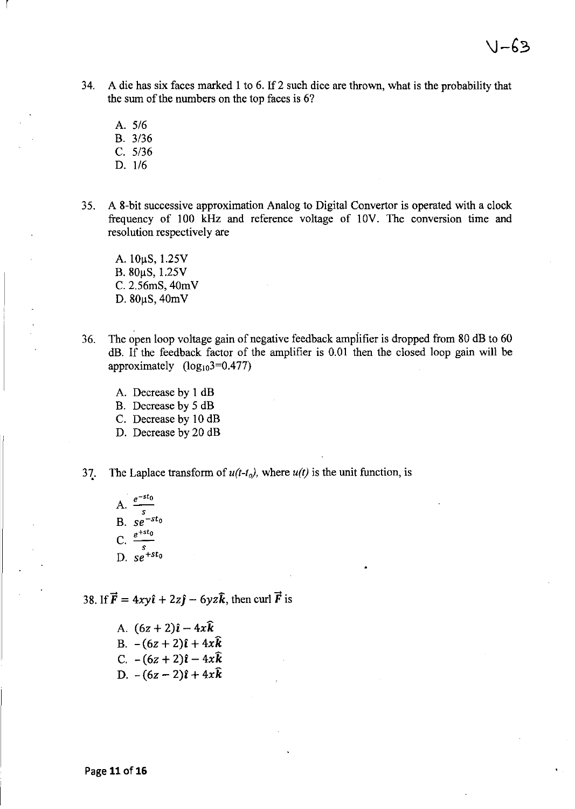- 34. A die has six faces marked 1 to 6. If 2 such dice are thrown, what is the probability that the sum of the numbers on the top faces is 6?
	- A. 5/6

r

- B. 3/36
- C. 5/36
- D. 1/6
- 35. A 8-bit successive approximation Analog to Digital Convertor is operated with a clock frequency of 100 kHz and reference voltage of IOV. The conversion time and resolution respectively are
	- A. 10µS, 1.25V  $B. 80 \mu S, 1.25 V$ C. 2.56mS, 40mV D.  $80\mu S$ ,  $40mV$
- 36. The open loop voltage gain of negative feedback ampiifier is dropped from SO dB to 60 dB. If the feedback factor of the amplifier is 0.01 then the closed loop gain will be approximately  $(log_{10}3=0.477)$ 
	- A. Decrease by 1 dB
	- B. Decrease by 5 dB
	- C. Decrease by 10 dB
	- D. Decrease by 20 dB
- 37. The Laplace transform of  $u(t-t_0)$ , where  $u(t)$  is the unit function, is
	- A. *e-sto*  s  $B.$   $se^{-st}$ C.  $\frac{c}{s}$ D. se+s*to*

38. If  $\vec{F} = 4xy\hat{i} + 2z\hat{j} - 6yz\hat{k}$ , then curl  $\vec{F}$  is

A.  $(6z + 2)\hat{i} - 4x\hat{k}$ B.  $-(6z+2)\hat{i}+4x\hat{k}$ C.  $-(6z + 2)\hat{i} - 4x\hat{k}$ D.  $-(6z-2)\hat{i}+4x\hat{k}$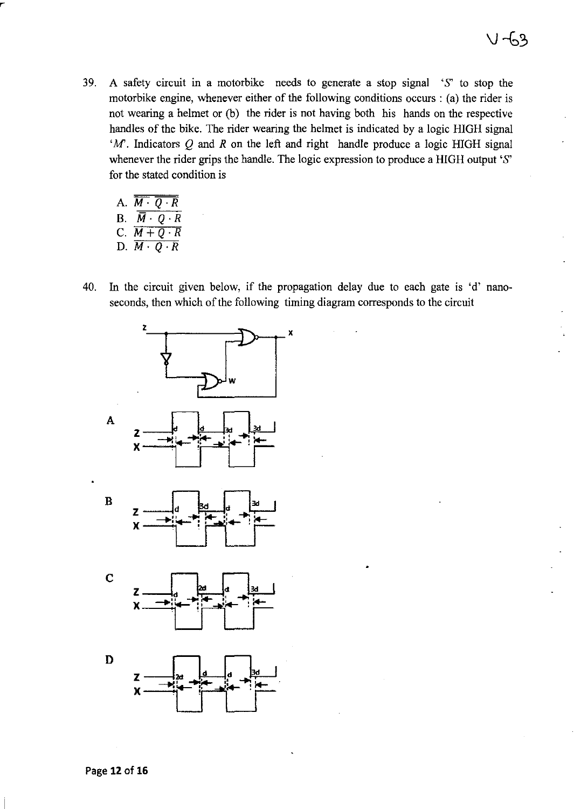- 39. A safety circuit in a motorbike needs to generate a stop signal'S' to stop the motorbike engine, whenever either of the following conditions occurs: (a) the rider is not wearing a helmet or (b) the rider is not having both his hands on the respective handles of the bike. The rider wearing the helmet is indicated by a logic HIGH signal *'M'*. Indicators Q and R on the left and right handle produce a logic HIGH signal whenever the rider grips the handle. The logic expression to produce a HIGH output 'S' for the stated condition is
	- A.  $\overline{M\cdot Q\cdot R}$ B.  $\overline{\overline{M} \cdot 0 \cdot R}$ c. *M+Q ·R*
	- D.  $\overline{M\cdot Q\cdot R}$
- 40. In the circuit given below, if the propagation delay due to each gate is 'd' nanoseconds, then which of the following timing diagram corresponds to the circuit

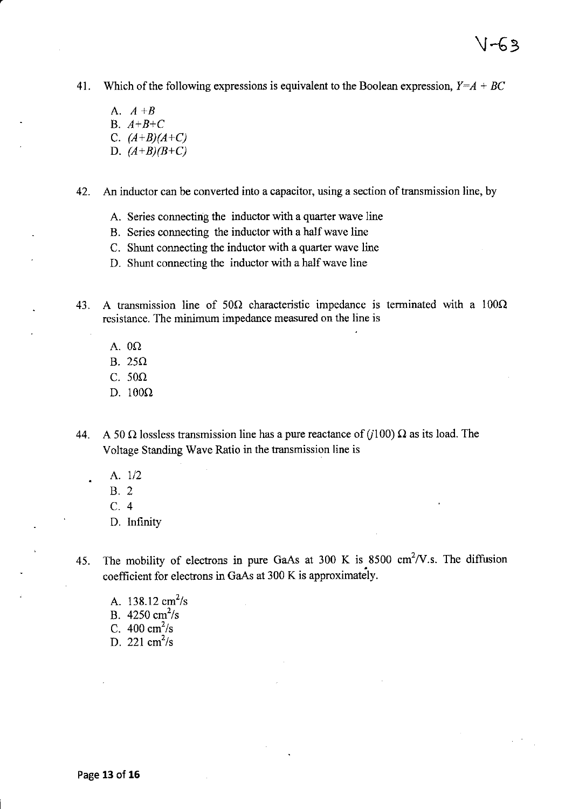41. Which of the following expressions is equivalent to the Boolean expression, *Y=A* + *BC* 

V-63

A. A *+B*  B. *A+B+C*  C. *(A+B){A+C)*  D.  $(A+B)(B+C)$ 

42. An inductor can be converted into a capacitor, using a section of transmission line, by

- A. Series connecting the inductor with a quarter wave line
- B. Series connecting the inductor with a half wave line
- C. Shunt connecting the inductor with a quarter wave line
- D. Shunt connecting the inductor with a half wave line

43. A transmission line of  $50\Omega$  characteristic impedance is terminated with a  $100\Omega$ resistance. The minimum impedance measured on the line is

- A.  $0\Omega$
- B.  $25\Omega$
- C.  $50\Omega$
- D.  $100\Omega$
- 44. A 50  $\Omega$  lossless transmission line has a pure reactance of (j100)  $\Omega$  as its load. The Voltage Standing Wave Ratio in the transmission line is
	- A. 1/2
	- B. 2
	- C.4
	- D. Infinity
- 45. The mobility of electrons in pure GaAs at 300 K is 8500 cm<sup>2</sup>/V.s. The diffusion coefficient for electrons in GaAs at 300 K is approximately.
	- A.  $138.12 \text{ cm}^2/\text{s}$ B.  $4250 \text{ cm}^2/\text{s}$ C.  $400 \text{ cm}^2/\text{s}$ D. 221  $\text{cm}^2/\text{s}$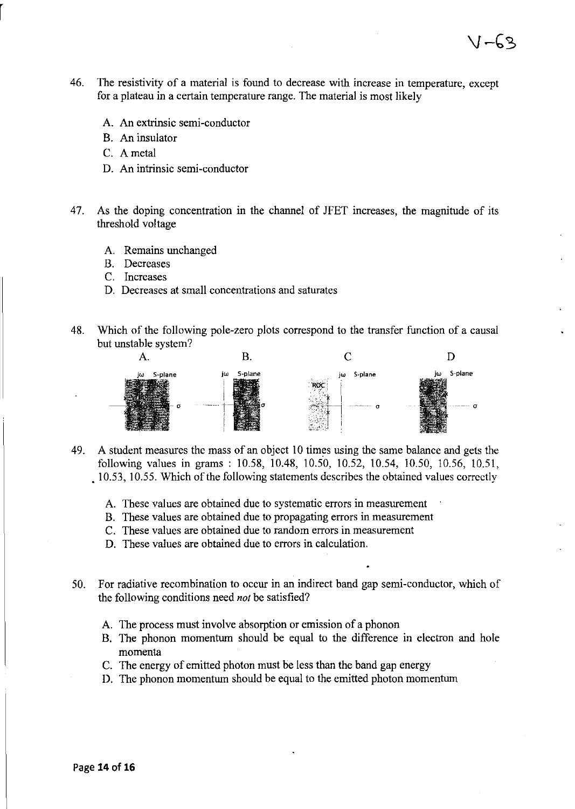46. The resistivity of a material is found to decrease with increase in temperature, except for a plateau in a certain temperature range. The material is most likely

 $1 - 63$ 

- A. An extrinsic semi-conductor
- B. An insulator
- C. Ametal
- D. An intrinsic semi-conductor
- 47. As the doping concentration in the channel of JFET increases, the magnitude of its threshold voltage
	- A. Remains unchanged
	- B. Decreases
	- C. Increases
	- D. Decreases at small concentrations and saturates
- 48. Which of the following pole-zero plots correspond to the transfer function of a causal but unstable system?



- 49. A student measures the mass of an object 10 times using the same balance and gets the following values in grams: 10.58, 10.48, 10.50, 10.52, 10.54, 10.50, 10.56, 10.51, .10.53,10.55. Which of the following statements describes the obtained values correctly
	- A. These values are obtained due to systematic errors in measurement
	- B. These values are obtained due to propagating errors in measurement
	- C. These values are obtained due to random errors in measurement
	- D. These values are obtained due to errors in calculation.
- 50. For radiative recombination to occur in an indirect band gap semi-conductor, which of the following conditions need *not* be satisfied?
	- A. The process must involve absorption or emission of a phonon
	- B. The phonon momentum should be equal to the difference in electron and hole momenta
	- C. The energy of emitted photon must be less than the band gap energy
	- D. The phonon momentum should be equal to the emitted photon momentum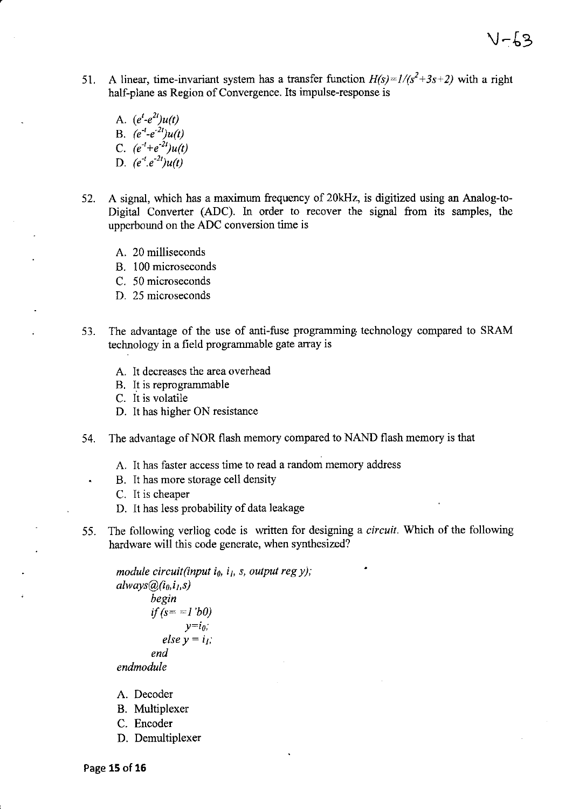V-63

51. A linear, time-invariant system has a transfer function  $H(s) = 1/(s^2+3s+2)$  with a right half-plane as Region of Convergence. Its impulse-response is

A.  $(e^t-e^{2t})u(t)$ B.  $(e^{-t}-e^{-2t})u(t)$ C.  $(e^{-t}+e^{-2t})u(t)$ D.  $(e^{-t}.e^{-2t})u(t)$ 

- 52. A signal, which has a maximum frequency of 20kHz, is digitized using an Analog-to-Digital Converter (ADC). In order to recover the signal from its samples, the upperbound on the ADC conversion time is
	- A. 20 milliseconds
	- B. 100 microseconds
	- C. 50 microseconds
	- D. 25 microseconds
- 53. The advantage of the use of anti-fuse programming technology compared to SRAM technology in a field programmable gate array is
	- A. It decreases the area overhead
	- B. It is reprogrammable
	- C. It is volatile
	- D. It has higher ON resistance
- 54. The advantage of NOR flash memory compared to NAND flash memory is that
	- A. It has faster access time to read a random memory address
	- B. It has more storage cell density
	- C. It is cheaper
	- D. It has less probability of data leakage
- 55. The following verliog code is written for designing a *circuit.* Which of the following hardware will this code generate, when synthesized?

```
module circuit(input io, ij, s, output reg y); 
always@(io.ij,s) 
         begin 
         if (s = -1 'b0)
                 y=i_0;
            else y = i<sub>I</sub>;end 
endmodule
```
- A. Decoder
- B. Multiplexer
- C. Encoder
- D. Demultiplexer